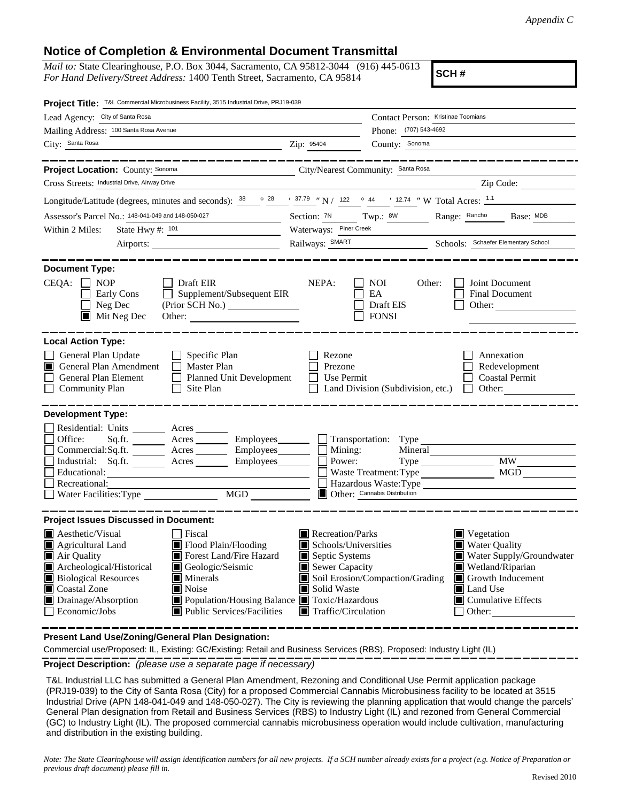## **Notice of Completion & Environmental Document Transmittal**

*Mail to:* State Clearinghouse, P.O. Box 3044, Sacramento, CA 95812-3044 (916) 445-0613 *For Hand Delivery/Street Address:* 1400 Tenth Street, Sacramento, CA 95814

**SCH #**

| Project Title: T&L Commercial Microbusiness Facility, 3515 Industrial Drive, PRJ19-039                                                                                                                                                                                                                                                                                                                                                                                                              |                                                                                                                                                                                                                                                                                                                                                                                           |  |
|-----------------------------------------------------------------------------------------------------------------------------------------------------------------------------------------------------------------------------------------------------------------------------------------------------------------------------------------------------------------------------------------------------------------------------------------------------------------------------------------------------|-------------------------------------------------------------------------------------------------------------------------------------------------------------------------------------------------------------------------------------------------------------------------------------------------------------------------------------------------------------------------------------------|--|
| Lead Agency: City of Santa Rosa                                                                                                                                                                                                                                                                                                                                                                                                                                                                     | Contact Person: Kristinae Toomians                                                                                                                                                                                                                                                                                                                                                        |  |
| Mailing Address: 100 Santa Rosa Avenue                                                                                                                                                                                                                                                                                                                                                                                                                                                              | Phone: (707) 543-4692                                                                                                                                                                                                                                                                                                                                                                     |  |
| City: Santa Rosa<br>$\overline{\phantom{a}}$ $\overline{\phantom{a}}$ $\overline{\phantom{a}}$ $\overline{\phantom{a}}$ $\overline{\phantom{a}}$ $\overline{\phantom{a}}$ $\overline{\phantom{a}}$ $\overline{\phantom{a}}$ $\overline{\phantom{a}}$ $\overline{\phantom{a}}$ $\overline{\phantom{a}}$ $\overline{\phantom{a}}$ $\overline{\phantom{a}}$ $\overline{\phantom{a}}$ $\overline{\phantom{a}}$ $\overline{\phantom{a}}$ $\overline{\phantom{a}}$ $\overline{\phantom{a}}$ $\overline{\$ | County: Sonoma                                                                                                                                                                                                                                                                                                                                                                            |  |
| Project Location: County: Sonoma                                                                                                                                                                                                                                                                                                                                                                                                                                                                    | City/Nearest Community: Santa Rosa                                                                                                                                                                                                                                                                                                                                                        |  |
| Cross Streets: Industrial Drive, Airway Drive                                                                                                                                                                                                                                                                                                                                                                                                                                                       | Zip Code:                                                                                                                                                                                                                                                                                                                                                                                 |  |
| Longitude/Latitude (degrees, minutes and seconds): $38 \degree$ $37.79 \degree$ N / 122 $\degree$ 44 $\degree$ 12.74 $\degree$ W Total Acres: $1.1$                                                                                                                                                                                                                                                                                                                                                 |                                                                                                                                                                                                                                                                                                                                                                                           |  |
| Assessor's Parcel No.: 148-041-049 and 148-050-027                                                                                                                                                                                                                                                                                                                                                                                                                                                  | Section: 7N Twp.: 8W<br>Range: Rancho Base: MDB                                                                                                                                                                                                                                                                                                                                           |  |
| State Hwy #: $101$<br>Within 2 Miles:                                                                                                                                                                                                                                                                                                                                                                                                                                                               | Waterways: Piner Creek                                                                                                                                                                                                                                                                                                                                                                    |  |
|                                                                                                                                                                                                                                                                                                                                                                                                                                                                                                     | Railways: SMART Schools: Schools: Schools: Schools: School                                                                                                                                                                                                                                                                                                                                |  |
| <b>Document Type:</b>                                                                                                                                                                                                                                                                                                                                                                                                                                                                               |                                                                                                                                                                                                                                                                                                                                                                                           |  |
| $CEQA: \Box NP$<br>$\Box$ Draft EIR<br>$\Box$ Supplement/Subsequent EIR<br>Early Cons<br>$\blacksquare$<br>$\Box$ Neg Dec<br>$\blacksquare$ Mit Neg Dec<br>Other:                                                                                                                                                                                                                                                                                                                                   | NEPA:<br>Joint Document<br>NOI 11<br>Other:<br>EA<br>Final Document<br>Draft EIS<br>Other:<br>$\Box$ FONSI                                                                                                                                                                                                                                                                                |  |
| <b>Local Action Type:</b><br>General Plan Update<br>$\Box$ Specific Plan<br>$\Box$ Master Plan<br>General Plan Amendment<br>IT L<br>General Plan Element<br>Planned Unit Development<br>$\Box$ Site Plan<br><b>Community Plan</b>                                                                                                                                                                                                                                                                   | Rezone<br>Annexation<br>Prezone<br>Redevelopment<br>$\Box$ Use Permit<br><b>Coastal Permit</b><br>$\Box$ Land Division (Subdivision, etc.) $\Box$ Other:                                                                                                                                                                                                                                  |  |
| <b>Development Type:</b><br>Residential: Units ________ Acres _____<br>Sq.ft. ________ Acres __________ Employees_________ __ Transportation: Type<br>Office:<br>$Commetrical:$ Sq.ft. $\overline{\qquad}$ Acres $\overline{\qquad}$ Employees $\Box$ Mining:<br>Industrial: Sq.ft. <u>Acres</u> Acres Employees<br>Educational:<br>Recreational:<br>MGD                                                                                                                                            | Mineral<br>Type MW<br>Power:<br>MGD<br>Waste Treatment: Type<br>Hazardous Waste: Type<br>Other: Cannabis Distribution                                                                                                                                                                                                                                                                     |  |
| <b>Project Issues Discussed in Document:</b><br>Aesthetic/Visual<br>Fiscal<br>Flood Plain/Flooding<br>$\blacksquare$ Agricultural Land<br>Air Quality<br>Forest Land/Fire Hazard<br>Archeological/Historical<br>Geologic/Seismic<br><b>Biological Resources</b><br>$\blacksquare$ Minerals<br>Coastal Zone<br>Noise<br>Drainage/Absorption<br>■ Population/Housing Balance ■ Toxic/Hazardous<br>Economic/Jobs<br>$\blacksquare$ Public Services/Facilities                                          | Recreation/Parks<br>$\blacksquare$ Vegetation<br>■ Water Quality<br>$\blacksquare$ Schools/Universities<br>Water Supply/Groundwater<br>Septic Systems<br>Wetland/Riparian<br>$\blacksquare$ Sewer Capacity<br>Soil Erosion/Compaction/Grading<br>Growth Inducement<br>Solid Waste<br>Land Use<br>$\blacksquare$ Cumulative Effects<br>$\blacksquare$ Traffic/Circulation<br>$\Box$ Other: |  |

**Present Land Use/Zoning/General Plan Designation:**

Commercial use/Proposed: IL, Existing: GC/Existing: Retail and Business Services (RBS), Proposed: Industry Light (IL)

**Project Description:** *(please use a separate page if necessary)*

 T&L Industrial LLC has submitted a General Plan Amendment, Rezoning and Conditional Use Permit application package (PRJ19-039) to the City of Santa Rosa (City) for a proposed Commercial Cannabis Microbusiness facility to be located at 3515 Industrial Drive (APN 148-041-049 and 148-050-027). The City is reviewing the planning application that would change the parcels' General Plan designation from Retail and Business Services (RBS) to Industry Light (IL) and rezoned from General Commercial (GC) to Industry Light (IL). The proposed commercial cannabis microbusiness operation would include cultivation, manufacturing and distribution in the existing building.

*Note: The State Clearinghouse will assign identification numbers for all new projects. If a SCH number already exists for a project (e.g. Notice of Preparation or previous draft document) please fill in.*